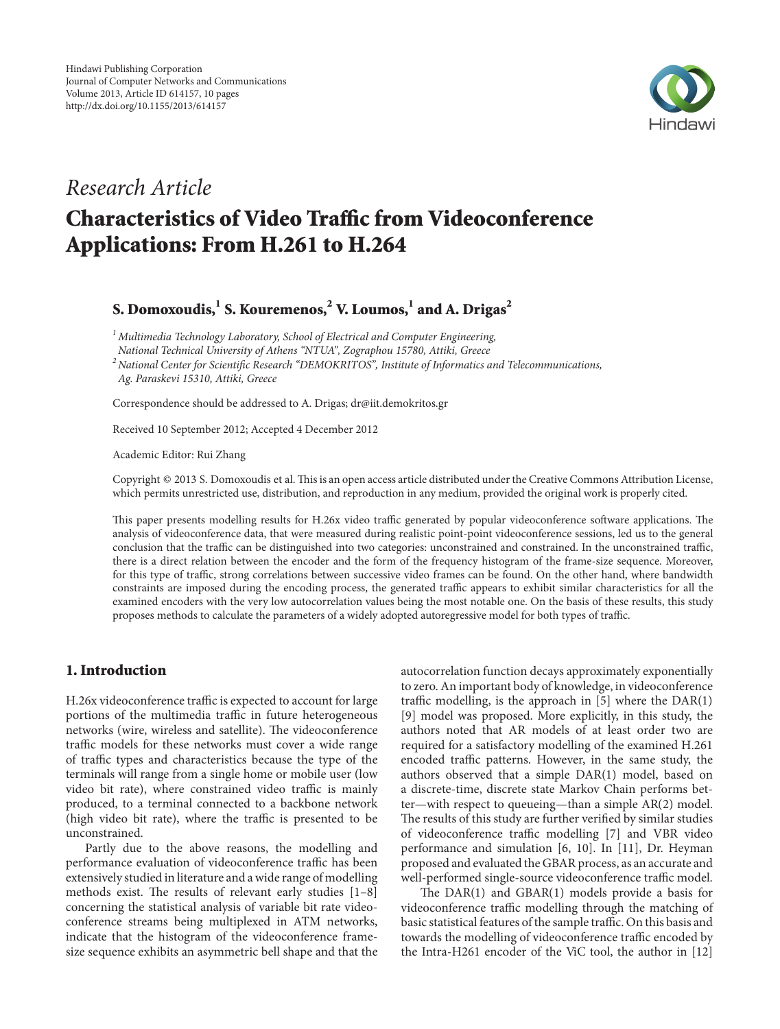

# *Article Research*

# Characteristics of Video Traffic from Video conference Applications: From H.261 to H.264

## S. Domoxoudis, <sup>1</sup> S. Kouremenos, <sup>2</sup> V. Loumos, <sup>1</sup> and A. Drigas<sup>2</sup>

<sup>1</sup> Multimedia Technology Laboratory, School of Electrical and Computer Engineering,

*National Technical University of Athens "NTUA", Zographou 15780, Attiki, Greece* 

<sup>2</sup> National Center for Scientific Research "DEMOKRITOS", Institute of Informatics and Telecommunications, Ag. Paraskevi 15310, Attiki, Greece

Correspondence should be addressed to A. Drigas; dr@iit.demokritos.gr

Received 10 September 2012; Accepted 4 December 2012

Academic Editor: Rui Zhang

Copyright © 2013 S. Domoxoudis et al. This is an open access article distributed under the Creative Commons Attribution License, which permits unrestricted use, distribution, and reproduction in any medium, provided the original work is properly cited.

This paper presents modelling results for H.26x video traffic generated by popular videoconference software applications. The analysis of videoconference data, that were measured during realistic point-point videoconference sessions, led us to the general conclusion that the traffic can be distinguished into two categories: unconstrained and constrained. In the unconstrained traffic, there is a direct relation between the encoder and the form of the frequency histogram of the frame-size sequence. Moreover, for this type of traffic, strong correlations between successive video frames can be found. On the other hand, where bandwidth constraints are imposed during the encoding process, the generated traffic appears to exhibit similar characteristics for all the examined encoders with the very low autocorrelation values being the most notable one. On the basis of these results, this study proposes methods to calculate the parameters of a widely adopted autoregressive model for both types of traffic.

#### 1. Introduction

H.26x videoconference traffic is expected to account for large portions of the multimedia traffic in future heterogeneous networks (wire, wireless and satellite). The videoconference traffic models for these networks must cover a wide range of traffic types and characteristics because the type of the terminals will range from a single home or mobile user (low video bit rate), where constrained video traffic is mainly produced, to a terminal connected to a backbone network (high video bit rate), where the traffic is presented to be .unconstrained

Partly due to the above reasons, the modelling and performance evaluation of videoconference traffic has been extensively studied in literature and a wide range of modelling methods exist. The results of relevant early studies  $[1-8]$ conference streams being multiplexed in ATM networks, concerning the statistical analysis of variable bit rate videosize sequence exhibits an asymmetric bell shape and that the indicate that the histogram of the videoconference frameautocorrelation function decays approximately exponentially to zero. An important body of knowledge, in videoconference traffic modelling, is the approach in  $[5]$  where the  $DAR(1)$ [9] model was proposed. More explicitly, in this study, the authors noted that AR models of at least order two are required for a satisfactory modelling of the examined H.261 encoded traffic patterns. However, in the same study, the authors observed that a simple DAR(1) model, based on  $ter$ —with respect to queueing—than a simple  $AR(2)$  model. a discrete-time, discrete state Markov Chain performs bet-The results of this study are further verified by similar studies of videoconference traffic modelling [7] and VBR video performance and simulation [6, 10]. In [11], Dr. Heyman proposed and evaluated the GBAR process, as an accurate and well-performed single-source videoconference traffic model.

The  $DAR(1)$  and  $GBAR(1)$  models provide a basis for videoconference traffic modelling through the matching of basic statistical features of the sample traffic. On this basis and towards the modelling of videoconference traffic encoded by the Intra-H261 encoder of the ViC tool, the author in  $[12]$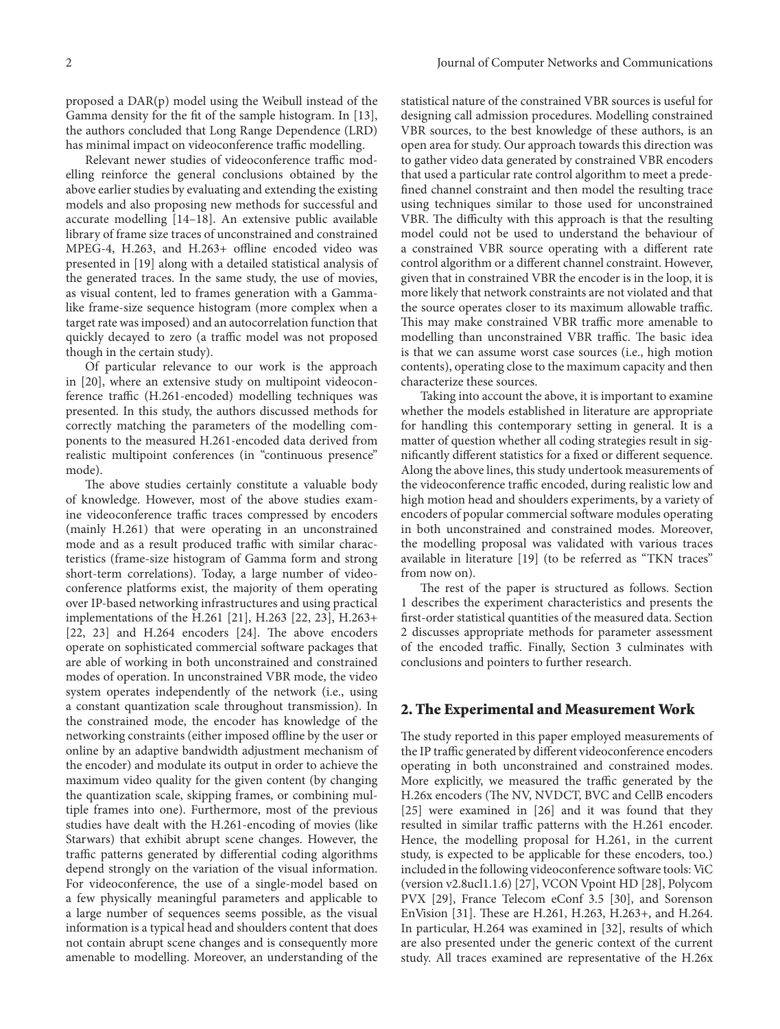proposed a  $DAR(p)$  model using the Weibull instead of the Gamma density for the fit of the sample histogram. In [13], the authors concluded that Long Range Dependence (LRD) has minimal impact on videoconference traffic modelling.

elling reinforce the general conclusions obtained by the Relevant newer studies of videoconference traffic modabove earlier studies by evaluating and extending the existing models and also proposing new methods for successful and accurate modelling  $[14–18]$ . An extensive public available library of frame size traces of unconstrained and constrained MPEG-4, H.263, and H.263+ offline encoded video was presented in [19] along with a detailed statistical analysis of the generated traces. In the same study, the use of movies, as visual content, led to frames generation with a Gamma-<br>like frame-size sequence histogram (more complex when a target rate was imposed) and an autocorrelation function that quickly decayed to zero (a traffic model was not proposed though in the certain study).

Of particular relevance to our work is the approach ference traffic (H.261-encoded) modelling techniques was in [20], where an extensive study on multipoint videoconpresented. In this study, the authors discussed methods for ponents to the measured H.261-encoded data derived from correctly matching the parameters of the modelling comrealistic multipoint conferences (in "continuous presence" mode).

The above studies certainly constitute a valuable body ine videoconference traffic traces compressed by encoders of knowledge. However, most of the above studies exam-(mainly  $H.261$ ) that were operating in an unconstrained teristics (frame-size histogram of Gamma form and strong mode and as a result produced traffic with similar characconference platforms exist, the majority of them operating short-term correlations). Today, a large number of videoover IP-based networking infrastructures and using practical implementations of the H.261 [21], H.263 [22, 23], H.263+  $[22, 23]$  and H.264 encoders  $[24]$ . The above encoders operate on sophisticated commercial software packages that are able of working in both unconstrained and constrained modes of operation. In unconstrained VBR mode, the video system operates independently of the network (i.e., using a constant quantization scale throughout transmission). In the constrained mode, the encoder has knowledge of the networking constraints (either imposed offline by the user or online by an adaptive bandwidth adjustment mechanism of the encoder) and modulate its output in order to achieve the maximum video quality for the given content (by changing tiple frames into one). Furthermore, most of the previous the quantization scale, skipping frames, or combining mulstudies have dealt with the H.261-encoding of movies (like Starwars) that exhibit abrupt scene changes. However, the traffic patterns generated by differential coding algorithms depend strongly on the variation of the visual information. For videoconference, the use of a single-model based on a few physically meaningful parameters and applicable to a large number of sequences seems possible, as the visual information is a typical head and shoulders content that does not contain abrupt scene changes and is consequently more amenable to modelling. Moreover, an understanding of the

statistical nature of the constrained VBR sources is useful for designing call admission procedures. Modelling constrained VBR sources, to the best knowledge of these authors, is an open area for study. Our approach towards this direction was to gather video data generated by constrained VBR encoders that used a particular rate control algorithm to meet a predefined channel constraint and then model the resulting trace using techniques similar to those used for unconstrained VBR. The difficulty with this approach is that the resulting model could not be used to understand the behaviour of a constrained VBR source operating with a different rate control algorithm or a different channel constraint. However, given that in constrained VBR the encoder is in the loop, it is more likely that network constraints are not violated and that the source operates closer to its maximum allowable traffic. This may make constrained VBR traffic more amenable to modelling than unconstrained VBR traffic. The basic idea is that we can assume worst case sources (i.e., high motion contents), operating close to the maximum capacity and then characterize these sources.

Taking into account the above, it is important to examine whether the models established in literature are appropriate for handling this contemporary setting in general. It is a nificantly different statistics for a fixed or different sequence. matter of question whether all coding strategies result in sig-Along the above lines, this study undertook measurements of the videoconference traffic encoded, during realistic low and high motion head and shoulders experiments, by a variety of encoders of popular commercial software modules operating in both unconstrained and constrained modes. Moreover, the modelling proposal was validated with various traces available in literature [19] (to be referred as "TKN traces" from now on).

The rest of the paper is structured as follows. Section 1 describes the experiment characteristics and presents the first-order statistical quantities of the measured data. Section 2 discusses appropriate methods for parameter assessment of the encoded traffic. Finally, Section 3 culminates with conclusions and pointers to further research.

#### 2. The Experimental and Measurement Work

The study reported in this paper employed measurements of the IP traffic generated by different videoconference encoders operating in both unconstrained and constrained modes. More explicitly, we measured the traffic generated by the H.26x encoders (The NV, NVDCT, BVC and CellB encoders [25] were examined in  $[26]$  and it was found that they resulted in similar traffic patterns with the H.261 encoder. Hence, the modelling proposal for H.261, in the current study, is expected to be applicable for these encoders, too.) included in the following videoconference software tools: ViC (version v2.8ucl1.1.6) [27], VCON Vpoint HD [28], Polycom PVX [29], France Telecom eConf 3.5 [30], and Sorenson EnVision [31]. These are H.261, H.263, H.263+, and H.264. In particular, H.264 was examined in [32], results of which are also presented under the generic context of the current study. All traces examined are representative of the H.26x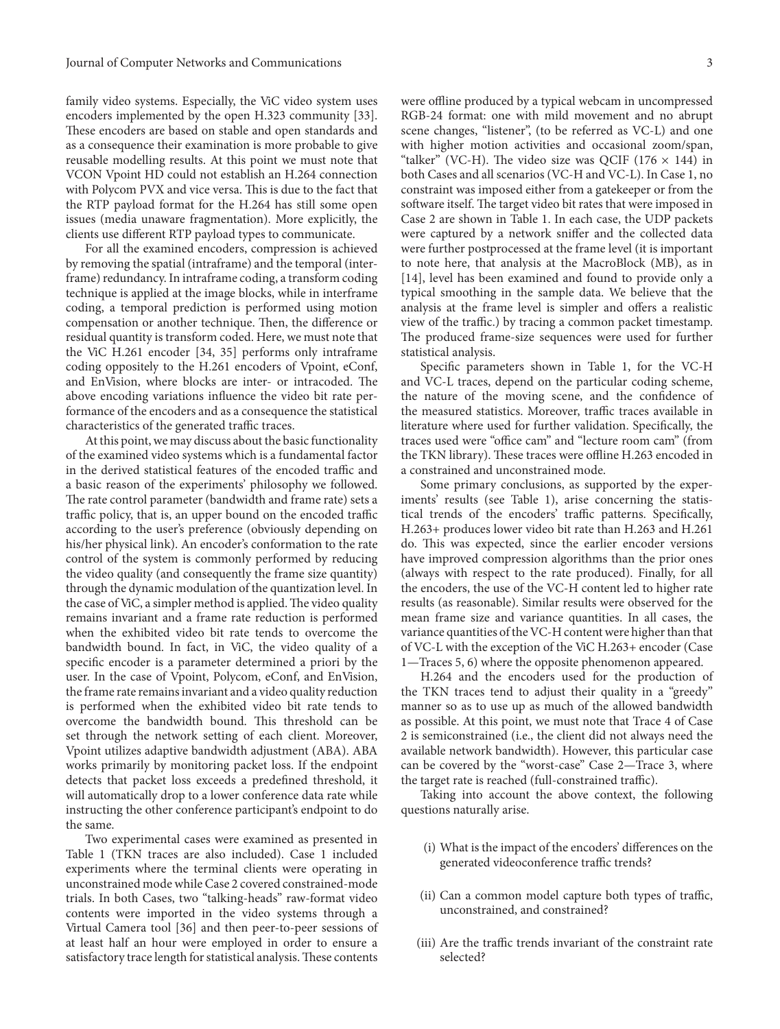family video systems. Especially, the ViC video system uses encoders implemented by the open  $H.323$  community [33]. These encoders are based on stable and open standards and as a consequence their examination is more probable to give reusable modelling results. At this point we must note that VCON Vpoint HD could not establish an H.264 connection with Polycom PVX and vice versa. This is due to the fact that the RTP payload format for the H.264 has still some open issues (media unaware fragmentation). More explicitly, the clients use different RTP payload types to communicate.

For all the examined encoders, compression is achieved frame) redundancy. In intraframe coding, a transform coding by removing the spatial (intraframe) and the temporal (intertechnique is applied at the image blocks, while in interframe coding, a temporal prediction is performed using motion compensation or another technique. Then, the difference or residual quantity is transform coded. Here, we must note that the ViC H.261 encoder  $[34, 35]$  performs only intraframe coding oppositely to the H.261 encoders of Vpoint, eConf, and EnVision, where blocks are inter- or intracoded. The formance of the encoders and as a consequence the statistical above encoding variations influence the video bit rate percharacteristics of the generated traffic traces.

At this point, we may discuss about the basic functionality of the examined video systems which is a fundamental factor in the derived statistical features of the encoded traffic and a basic reason of the experiments' philosophy we followed. The rate control parameter (bandwidth and frame rate) sets a traffic policy, that is, an upper bound on the encoded traffic according to the user's preference (obviously depending on his/her physical link). An encoder's conformation to the rate control of the system is commonly performed by reducing the video quality (and consequently the frame size quantity) through the dynamic modulation of the quantization level. In the case of ViC, a simpler method is applied. The video quality remains invariant and a frame rate reduction is performed when the exhibited video bit rate tends to overcome the bandwidth bound. In fact, in ViC, the video quality of a specific encoder is a parameter determined a priori by the user. In the case of Vpoint, Polycom, eConf, and EnVision, the frame rate remains invariant and a video quality reduction is performed when the exhibited video bit rate tends to overcome the bandwidth bound. This threshold can be set through the network setting of each client. Moreover, Vpoint utilizes adaptive bandwidth adjustment (ABA). ABA works primarily by monitoring packet loss. If the endpoint detects that packet loss exceeds a predefined threshold, it will automatically drop to a lower conference data rate while instructing the other conference participant's endpoint to do the same.

Two experimental cases were examined as presented in Table 1 (TKN traces are also included). Case 1 included experiments where the terminal clients were operating in unconstrained mode while Case 2 covered constrained-mode trials. In both Cases, two "talking-heads" raw-format video contents were imported in the video systems through a Virtual Camera tool [36] and then peer-to-peer sessions of at least half an hour were employed in order to ensure a satisfactory trace length for statistical analysis. These contents

were offline produced by a typical webcam in uncompressed RGB-24 format: one with mild movement and no abrupt scene changes, "listener", (to be referred as VC-L) and one with higher motion activities and occasional zoom/span, "talker" (VC-H). The video size was QCIF (176  $\times$  144) in both Cases and all scenarios (VC-H and VC-L). In Case 1, no constraint was imposed either from a gatekeeper or from the software itself. The target video bit rates that were imposed in Case 2 are shown in Table 1. In each case, the UDP packets were captured by a network sniffer and the collected data were further postprocessed at the frame level (it is important to note here, that analysis at the MacroBlock (MB), as in  $[14]$ , level has been examined and found to provide only a typical smoothing in the sample data. We believe that the analysis at the frame level is simpler and offers a realistic view of the traffic.) by tracing a common packet timestamp. The produced frame-size sequences were used for further statistical analysis.

Specific parameters shown in Table 1, for the VC-H and VC-L traces, depend on the particular coding scheme, the nature of the moving scene, and the confidence of the measured statistics. Moreover, traffic traces available in literature where used for further validation. Specifically, the traces used were "office cam" and "lecture room cam" (from the TKN library). These traces were offline H.263 encoded in a constrained and unconstrained mode.

iments' results (see Table 1), arise concerning the statistical trends of the encoders' traffic patterns. Specifically, Some primary conclusions, as supported by the experiments' results (see Table 1), arise concerning the statis-H.263+ produces lower video bit rate than H.263 and H.261 do. This was expected, since the earlier encoder versions have improved compression algorithms than the prior ones (always with respect to the rate produced). Finally, for all the encoders, the use of the VC-H content led to higher rate results (as reasonable). Similar results were observed for the mean frame size and variance quantities. In all cases, the variance quantities of the VC-H content were higher than that of VC-L with the exception of the ViC H.263+ encoder (Case 1—Traces 5, 6) where the opposite phenomenon appeared.

H.264 and the encoders used for the production of the TKN traces tend to adjust their quality in a "greedy" manner so as to use up as much of the allowed bandwidth as possible. At this point, we must note that Trace 4 of Case 2 is semiconstrained (i.e., the client did not always need the available network bandwidth). However, this particular case can be covered by the "worst-case" Case 2-Trace 3, where the target rate is reached (full-constrained traffic).

Taking into account the above context, the following questions naturally arise.

- (i) What is the impact of the encoders' differences on the generated videoconference traffic trends?
- (ii) Can a common model capture both types of traffic, unconstrained, and constrained?
- (iii) Are the traffic trends invariant of the constraint rate selected?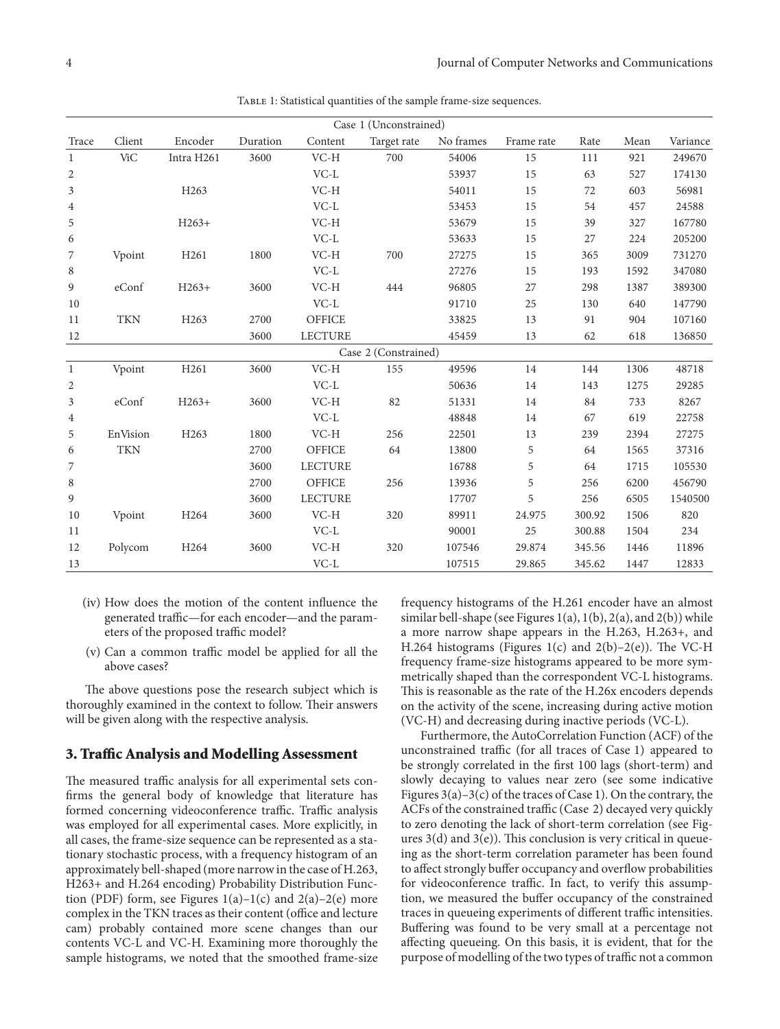|  | TABLE 1: Statistical quantities of the sample frame-size sequences. |
|--|---------------------------------------------------------------------|
|  |                                                                     |

|                |                      |                  |          |                                 | Case 1 (Unconstrained) |           |            |        |      |          |
|----------------|----------------------|------------------|----------|---------------------------------|------------------------|-----------|------------|--------|------|----------|
| Trace          | Client               | Encoder          | Duration | Content                         | Target rate            | No frames | Frame rate | Rate   | Mean | Variance |
| $\mathbf{1}$   | <b>ViC</b>           | Intra H261       | 3600     | $VC-H$                          | 700                    | 54006     | 15         | 111    | 921  | 249670   |
| 2              |                      |                  |          | $VC-L$                          |                        | 53937     | 15         | 63     | 527  | 174130   |
| 3              |                      | H <sub>263</sub> |          | $VC-H$                          |                        | 54011     | 15         | 72     | 603  | 56981    |
| $\overline{4}$ |                      |                  |          | $\mathsf{VC}\text{-}\mathsf{L}$ |                        | 53453     | 15         | 54     | 457  | 24588    |
| 5              |                      | $H263+$          |          | $VC-H$                          |                        | 53679     | 15         | 39     | 327  | 167780   |
| 6              |                      |                  |          | $VC-L$                          |                        | 53633     | 15         | 27     | 224  | 205200   |
| 7              | Vpoint               | H <sub>261</sub> | 1800     | $VC-H$                          | 700                    | 27275     | 15         | 365    | 3009 | 731270   |
| 8              |                      |                  |          | $VC-L$                          |                        | 27276     | 15         | 193    | 1592 | 347080   |
| 9              | eConf                | $H263+$          | 3600     | $VC-H$                          | 444                    | 96805     | 27         | 298    | 1387 | 389300   |
| 10             |                      |                  |          | $VC-L$                          |                        | 91710     | 25         | 130    | 640  | 147790   |
| 11             | <b>TKN</b>           | H <sub>263</sub> | 2700     | <b>OFFICE</b>                   |                        | 33825     | 13         | 91     | 904  | 107160   |
| 12             |                      |                  | 3600     | <b>LECTURE</b>                  |                        | 45459     | 13         | 62     | 618  | 136850   |
|                | Case 2 (Constrained) |                  |          |                                 |                        |           |            |        |      |          |
| $\mathbf{1}$   | Vpoint               | H <sub>261</sub> | 3600     | $VC-H$                          | 155                    | 49596     | 14         | 144    | 1306 | 48718    |
| 2              |                      |                  |          | $VC-L$                          |                        | 50636     | 14         | 143    | 1275 | 29285    |
| 3              | eConf                | $H263+$          | 3600     | $VC-H$                          | 82                     | 51331     | 14         | 84     | 733  | 8267     |
| 4              |                      |                  |          | $VC-L$                          |                        | 48848     | 14         | 67     | 619  | 22758    |
| 5              | EnVision             | H <sub>263</sub> | 1800     | $VC-H$                          | 256                    | 22501     | 13         | 239    | 2394 | 27275    |
| 6              | <b>TKN</b>           |                  | 2700     | <b>OFFICE</b>                   | 64                     | 13800     | 5          | 64     | 1565 | 37316    |
| 7              |                      |                  | 3600     | <b>LECTURE</b>                  |                        | 16788     | 5          | 64     | 1715 | 105530   |
| 8              |                      |                  | 2700     | <b>OFFICE</b>                   | 256                    | 13936     | 5          | 256    | 6200 | 456790   |
| 9              |                      |                  | 3600     | <b>LECTURE</b>                  |                        | 17707     | 5          | 256    | 6505 | 1540500  |
| 10             | Vpoint               | H <sub>264</sub> | 3600     | $VC-H$                          | 320                    | 89911     | 24.975     | 300.92 | 1506 | 820      |
| 11             |                      |                  |          | $VC-L$                          |                        | 90001     | 25         | 300.88 | 1504 | 234      |
| 12             | Polycom              | H <sub>264</sub> | 3600     | $VC-H$                          | 320                    | 107546    | 29.874     | 345.56 | 1446 | 11896    |
| 13             |                      |                  |          | $\mathsf{VC}\text{-}\mathsf{L}$ |                        | 107515    | 29.865     | 345.62 | 1447 | 12833    |

- $(iv)$  How does the motion of the content influence the generated traffic—for each encoder—and the param-<br>eters of the proposed traffic model?
- $(v)$  Can a common traffic model be applied for all the above cases?

The above questions pose the research subject which is thoroughly examined in the context to follow. Their answers will be given along with the respective analysis.

#### 3. Traffic Analysis and Modelling Assessment

The measured traffic analysis for all experimental sets confirms the general body of knowledge that literature has formed concerning videoconference traffic. Traffic analysis was employed for all experimental cases. More explicitly, in tionary stochastic process, with a frequency histogram of an all cases, the frame-size sequence can be represented as a staapproximately bell-shaped (more narrow in the case of H.263, tion (PDF) form, see Figures  $1(a)-1(c)$  and  $2(a)-2(e)$  more H263+ and H.264 encoding) Probability Distribution Funccomplex in the TKN traces as their content (office and lecture cam) probably contained more scene changes than our contents VC-L and VC-H. Examining more thoroughly the sample histograms, we noted that the smoothed frame-size

frequency histograms of the H.261 encoder have an almost similar bell-shape (see Figures 1(a), 1(b), 2(a), and 2(b)) while a more narrow shape appears in the H.263, H.263+, and H.264 histograms (Figures 1(c) and  $2(b)-2(e)$ ). The VC-H metrically shaped than the correspondent VC-L histograms. frequency frame-size histograms appeared to be more sym-This is reasonable as the rate of the H.26x encoders depends on the activity of the scene, increasing during active motion (VC-H) and decreasing during inactive periods (VC-L).

Furthermore, the AutoCorrelation Function (ACF) of the unconstrained traffic (for all traces of Case 1) appeared to be strongly correlated in the first 100 lags (short-term) and slowly decaying to values near zero (see some indicative Figures  $3(a)-3(c)$  of the traces of Case 1). On the contrary, the ACFs of the constrained traffic (Case 2) decayed very quickly ing as the short-term correlation parameter has been found ures  $3(d)$  and  $3(e)$ ). This conclusion is very critical in queueto zero denoting the lack of short-term correlation (see Figto affect strongly buffer occupancy and overflow probabilities tion, we measured the buffer occupancy of the constrained for videoconference traffic. In fact, to verify this assumptraces in queueing experiments of different traffic intensities. Buffering was found to be very small at a percentage not affecting queueing. On this basis, it is evident, that for the purpose of modelling of the two types of traffic not a common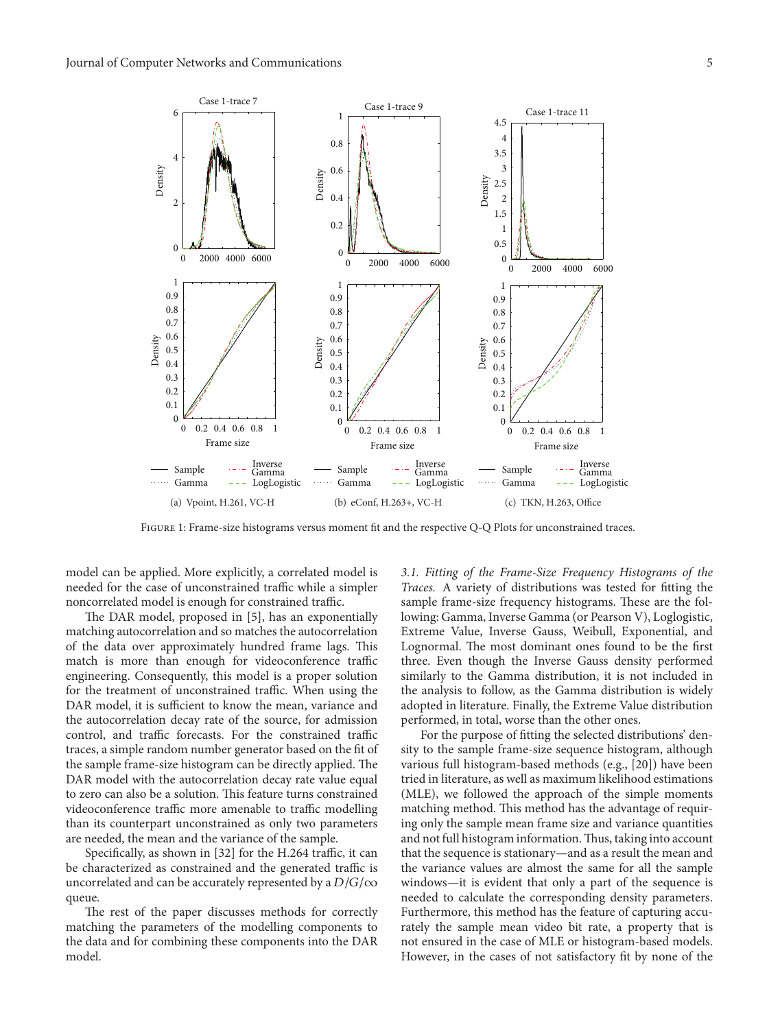

FIGURE 1: Frame-size histograms versus moment fit and the respective Q-Q Plots for unconstrained traces.

model can be applied. More explicitly, a correlated model is needed for the case of unconstrained traffic while a simpler noncorrelated model is enough for constrained traffic.

The DAR model, proposed in [5], has an exponentially matching autocorrelation and so matches the autocorrelation of the data over approximately hundred frame lags. This match is more than enough for videoconference traffic engineering. Consequently, this model is a proper solution for the treatment of unconstrained traffic. When using the DAR model, it is sufficient to know the mean, variance and the autocorrelation decay rate of the source, for admission control, and traffic forecasts. For the constrained traffic traces, a simple random number generator based on the fit of the sample frame-size histogram can be directly applied. The DAR model with the autocorrelation decay rate value equal to zero can also be a solution. This feature turns constrained videoconference traffic more amenable to traffic modelling than its counterpart unconstrained as only two parameters are needed, the mean and the variance of the sample.

Specifically, as shown in [32] for the H.264 traffic, it can be characterized as constrained and the generated traffic is uncorrelated and can be accurately represented by a  $D/G/\infty$ .queue

The rest of the paper discusses methods for correctly matching the parameters of the modelling components to the data and for combining these components into the DAR model.

*the of Histograms Frequency Size-Frame the of Fitting 3.1.* Traces. A variety of distributions was tested for fitting the sample frame-size frequency histograms. These are the fol-<br>lowing: Gamma, Inverse Gamma (or Pearson V), Loglogistic, Extreme Value, Inverse Gauss, Weibull, Exponential, and Lognormal. The most dominant ones found to be the first three. Even though the Inverse Gauss density performed similarly to the Gamma distribution, it is not included in the analysis to follow, as the Gamma distribution is widely adopted in literature. Finally, the Extreme Value distribution performed, in total, worse than the other ones.

sity to the sample frame-size sequence histogram, although For the purpose of fitting the selected distributions' denvarious full histogram-based methods (e.g., [20]) have been tried in literature, as well as maximum likelihood estimations (MLE), we followed the approach of the simple moments ing only the sample mean frame size and variance quantities matching method. This method has the advantage of requirand not full histogram information. Thus, taking into account that the sequence is stationary—and as a result the mean and the variance values are almost the same for all the sample windows—it is evident that only a part of the sequence is needed to calculate the corresponding density parameters. rately the sample mean video bit rate, a property that is Furthermore, this method has the feature of capturing accunot ensured in the case of MLE or histogram-based models. However, in the cases of not satisfactory fit by none of the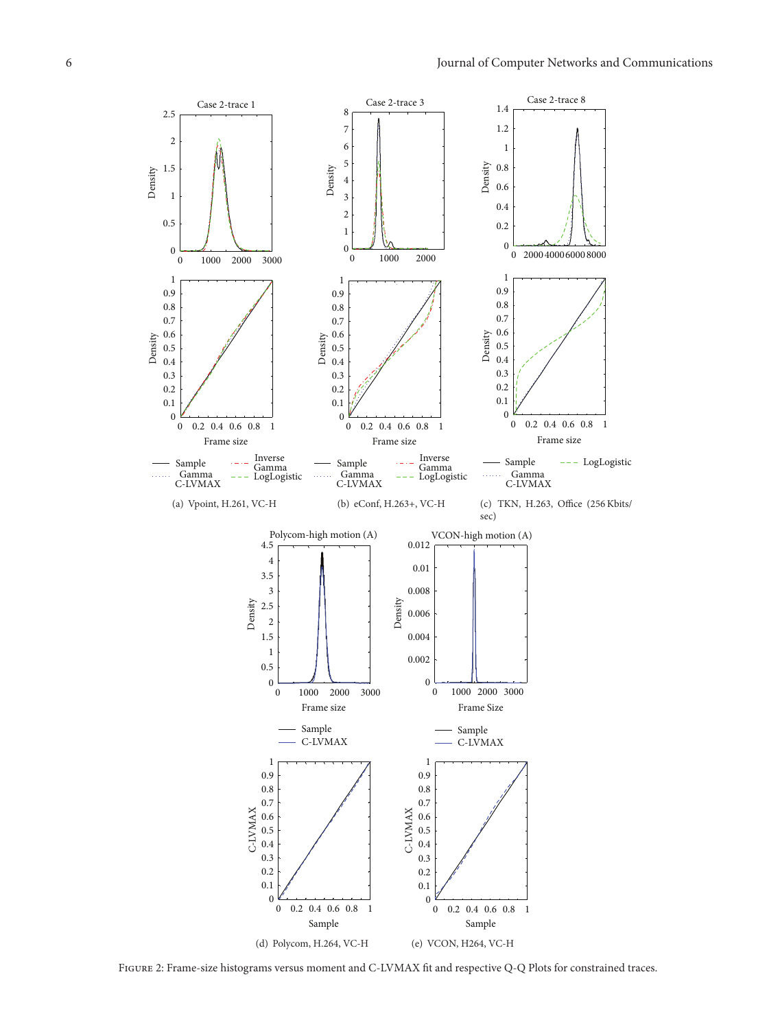

FIGURE 2: Frame-size histograms versus moment and C-LVMAX fit and respective Q-Q Plots for constrained traces.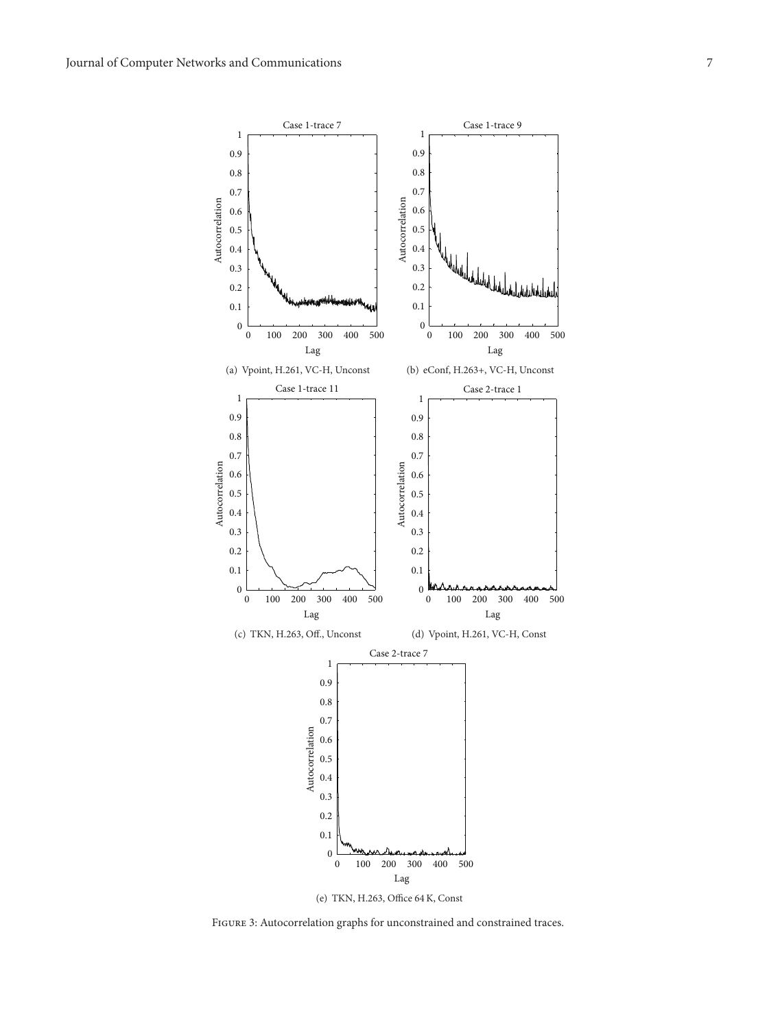



FIGURE 3: Autocorrelation graphs for unconstrained and constrained traces.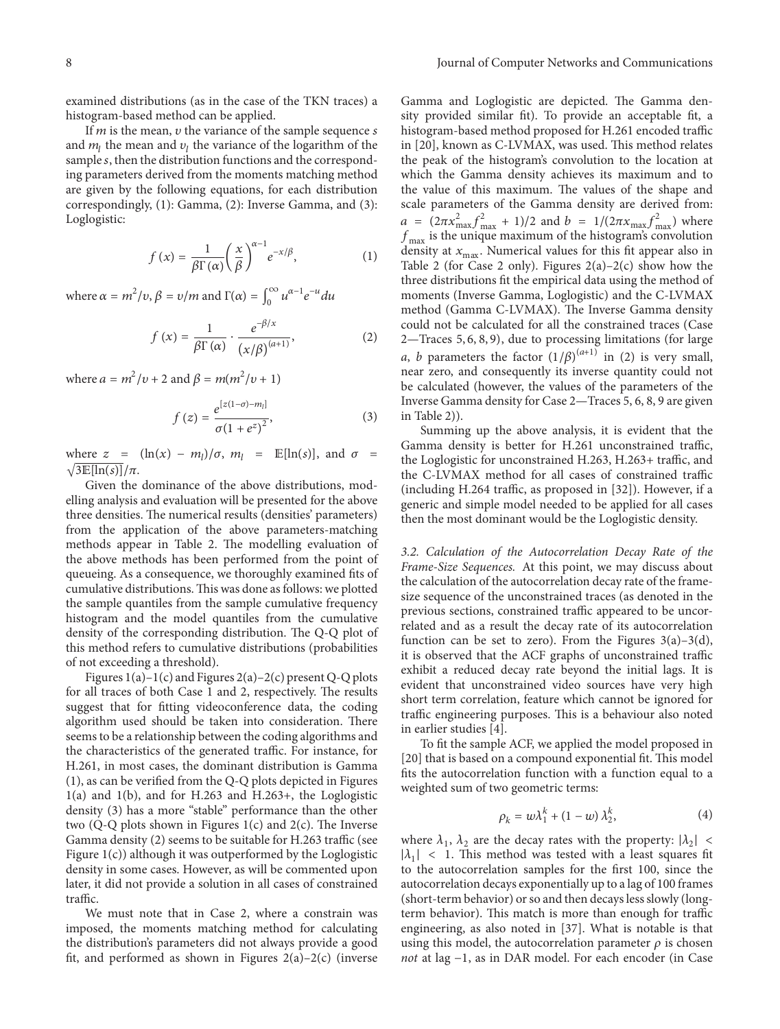examined distributions (as in the case of the TKN traces) a histogram-based method can be applied.

If  $m$  is the mean,  $v$  the variance of the sample sequence  $s$ and  $m_l$  the mean and  $v_l$  the variance of the logarithm of the ing parameters derived from the moments matching method sample s, then the distribution functions and the correspondare given by the following equations, for each distribution correspondingly,  $(1)$ : Gamma,  $(2)$ : Inverse Gamma, and  $(3)$ : Loglogistic:

$$
f(x) = \frac{1}{\beta \Gamma(\alpha)} \left(\frac{x}{\beta}\right)^{\alpha - 1} e^{-x/\beta}, \tag{1}
$$

where  $\alpha = m^2/v$ ,  $\beta = v/m$  and  $\Gamma(\alpha) = \int_0^\infty u^{\alpha-1} e^{-\beta u}$  $\alpha^{-1}d$ 

$$
f(x) = \frac{1}{\beta \Gamma(\alpha)} \cdot \frac{e^{-\beta/x}}{\left(x/\beta\right)^{(a+1)}},\tag{2}
$$

where  $a = m^2/v + 2$  and  $\beta = m(m^2/v)$ 

$$
f(z) = \frac{e^{[z(1-\sigma)-m_l]}}{\sigma(1+e^z)^2},
$$
 (3)

where  $z = (\ln(x) - m_l)/\sigma$ ,  $m_l = \mathbb{E}[\ln(s)]$ , and  $\sigma =$  $\sqrt{3E[\ln(s)]/\pi}$ .

elling analysis and evaluation will be presented for the above Given the dominance of the above distributions, modthree densities. The numerical results (densities' parameters) from the application of the above parameters-matching methods appear in Table 2. The modelling evaluation of the above methods has been performed from the point of queueing. As a consequence, we thoroughly examined fits of cumulative distributions. This was done as follows: we plotted the sample quantiles from the sample cumulative frequency histogram and the model quantiles from the cumulative density of the corresponding distribution. The Q-Q plot of this method refers to cumulative distributions (probabilities of not exceeding a threshold).

Figures  $1(a)-1(c)$  and Figures  $2(a)-2(c)$  present Q-Q plots for all traces of both Case 1 and 2, respectively. The results suggest that for fitting videoconference data, the coding algorithm used should be taken into consideration. There seems to be a relationship between the coding algorithms and the characteristics of the generated traffic. For instance, for H.261, in most cases, the dominant distribution is Gamma  $(1)$ , as can be verified from the Q-Q plots depicted in Figures  $1(a)$  and  $1(b)$ , and for H.263 and H.263+, the Loglogistic density (3) has a more "stable" performance than the other two (Q-Q plots shown in Figures 1(c) and  $2(c)$ . The Inverse Gamma density (2) seems to be suitable for H.263 traffic (see Figure  $1(c)$ ) although it was outperformed by the Loglogistic density in some cases. However, as will be commented upon later, it did not provide a solution in all cases of constrained traffic.

We must note that in Case 2, where a constrain was imposed, the moments matching method for calculating the distribution's parameters did not always provide a good fit, and performed as shown in Figures  $2(a)-2(c)$  (inverse

Gamma and Loglogistic are depicted. The Gamma density provided similar fit). To provide an acceptable fit, a histogram-based method proposed for H.261 encoded traffic in [20], known as C-LVMAX, was used. This method relates the peak of the histogram's convolution to the location at which the Gamma density achieves its maximum and to the value of this maximum. The values of the shape and scale parameters of the Gamma density are derived from:  $a = (2\pi x_{\text{max}}^2 f_{\text{max}}^2 + 1)/2$  and  $b = 1/(2\pi x_{\text{max}} f_{\text{max}}^2)$  where  $f_{\text{max}}$  is the unique maximum of the histogram's convolution density at  $x_{\rm max}.$  Numerical values for this fit appear also in Table 2 (for Case 2 only). Figures  $2(a)-2(c)$  show how the three distributions fit the empirical data using the method of moments (Inverse Gamma, Loglogistic) and the C-LVMAX method (Gamma C-LVMAX). The Inverse Gamma density could not be calculated for all the constrained traces (Case 2—Traces 5, 6, 8, 9), due to processing limitations (for large a, *b* parameters the factor  $(1/\beta)^{(a+1)}$  in (2) is very small, near zero, and consequently its inverse quantity could not be calculated (however, the values of the parameters of the Inverse Gamma density for Case 2-Traces 5, 6, 8, 9 are given in Table  $2$ )).

Summing up the above analysis, it is evident that the Gamma density is better for H.261 unconstrained traffic, the Loglogistic for unconstrained H.263, H.263+ traffic, and the C-LVMAX method for all cases of constrained traffic (including H.264 traffic, as proposed in [32]). However, if a generic and simple model needed to be applied for all cases then the most dominant would be the Loglogistic density.

3.2. Calculation of the Autocorrelation Decay Rate of the Frame-Size Sequences. At this point, we may discuss about size sequence of the unconstrained traces (as denoted in the the calculation of the autocorrelation decay rate of the framerelated and as a result the decay rate of its autocorrelation previous sections, constrained traffic appeared to be uncorfunction can be set to zero). From the Figures  $3(a)-3(d)$ , it is observed that the ACF graphs of unconstrained traffic exhibit a reduced decay rate beyond the initial lags. It is evident that unconstrained video sources have very high short term correlation, feature which cannot be ignored for traffic engineering purposes. This is a behaviour also noted in earlier studies  $[4]$ .

To fit the sample ACF, we applied the model proposed in [20] that is based on a compound exponential fit. This model fits the autocorrelation function with a function equal to a weighted sum of two geometric terms:

$$
\rho_k = w\lambda_1^k + (1 - w)\lambda_2^k, \tag{4}
$$

where  $\lambda_1$ ,  $\lambda_2$  are the decay rates with the property:  $|\lambda_2|$  <  $|\lambda_1|$  < 1. This method was tested with a least squares fit to the autocorrelation samples for the first 100, since the autocorrelation decays exponentially up to a lag of 100 frames term behavior). This match is more than enough for traffic (short-term behavior) or so and then decays less slowly (longengineering, as also noted in  $[37]$ . What is notable is that using this model, the autocorrelation parameter  $\rho$  is chosen not at lag -1, as in DAR model. For each encoder (in Case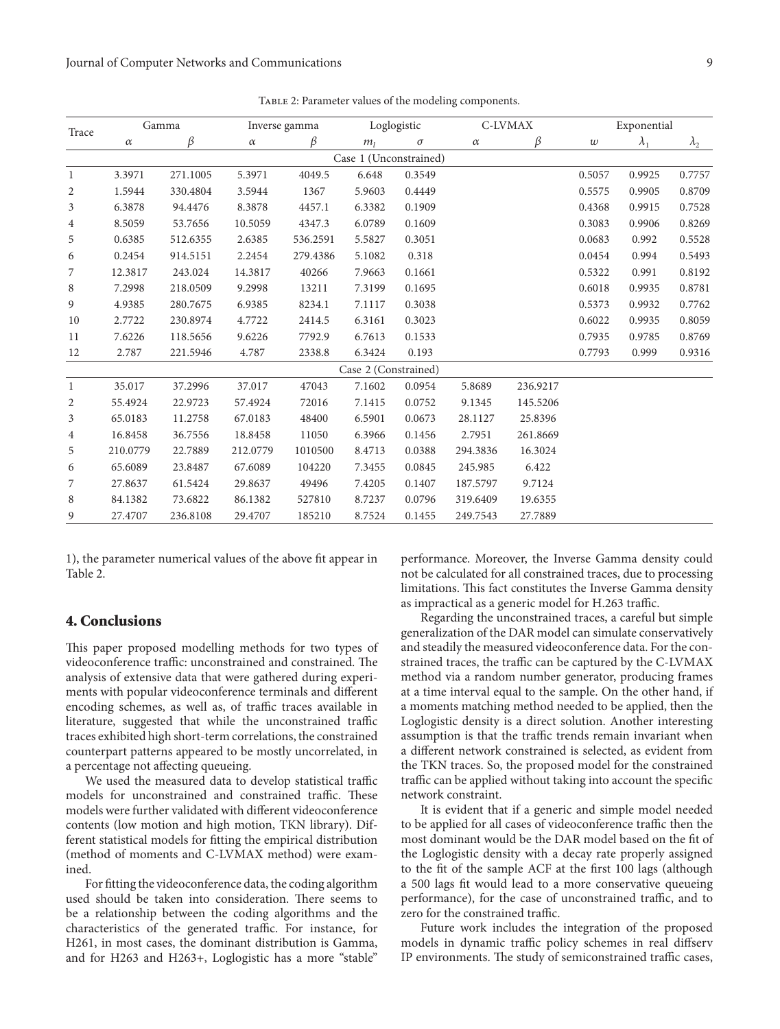| Trace        | Gamma    |          | Inverse gamma |          | Loglogistic          |                        |          | C-LVMAX  |                  | Exponential |               |  |
|--------------|----------|----------|---------------|----------|----------------------|------------------------|----------|----------|------------------|-------------|---------------|--|
|              | $\alpha$ | β        | $\alpha$      | $\beta$  | m <sub>l</sub>       | $\sigma$               | $\alpha$ | $\beta$  | $\boldsymbol{w}$ | $\lambda_1$ | $\lambda_{2}$ |  |
|              |          |          |               |          |                      | Case 1 (Unconstrained) |          |          |                  |             |               |  |
| $\mathbf{1}$ | 3.3971   | 271.1005 | 5.3971        | 4049.5   | 6.648                | 0.3549                 |          |          | 0.5057           | 0.9925      | 0.7757        |  |
| 2            | 1.5944   | 330.4804 | 3.5944        | 1367     | 5.9603               | 0.4449                 |          |          | 0.5575           | 0.9905      | 0.8709        |  |
| 3            | 6.3878   | 94.4476  | 8.3878        | 4457.1   | 6.3382               | 0.1909                 |          |          | 0.4368           | 0.9915      | 0.7528        |  |
| 4            | 8.5059   | 53.7656  | 10.5059       | 4347.3   | 6.0789               | 0.1609                 |          |          | 0.3083           | 0.9906      | 0.8269        |  |
| 5            | 0.6385   | 512.6355 | 2.6385        | 536.2591 | 5.5827               | 0.3051                 |          |          | 0.0683           | 0.992       | 0.5528        |  |
| 6            | 0.2454   | 914.5151 | 2.2454        | 279.4386 | 5.1082               | 0.318                  |          |          | 0.0454           | 0.994       | 0.5493        |  |
| 7            | 12.3817  | 243.024  | 14.3817       | 40266    | 7.9663               | 0.1661                 |          |          | 0.5322           | 0.991       | 0.8192        |  |
| $\,8\,$      | 7.2998   | 218.0509 | 9.2998        | 13211    | 7.3199               | 0.1695                 |          |          | 0.6018           | 0.9935      | 0.8781        |  |
| 9            | 4.9385   | 280.7675 | 6.9385        | 8234.1   | 7.1117               | 0.3038                 |          |          | 0.5373           | 0.9932      | 0.7762        |  |
| 10           | 2.7722   | 230.8974 | 4.7722        | 2414.5   | 6.3161               | 0.3023                 |          |          | 0.6022           | 0.9935      | 0.8059        |  |
| 11           | 7.6226   | 118.5656 | 9.6226        | 7792.9   | 6.7613               | 0.1533                 |          |          | 0.7935           | 0.9785      | 0.8769        |  |
| 12           | 2.787    | 221.5946 | 4.787         | 2338.8   | 6.3424               | 0.193                  |          |          | 0.7793           | 0.999       | 0.9316        |  |
|              |          |          |               |          | Case 2 (Constrained) |                        |          |          |                  |             |               |  |
| 1            | 35.017   | 37.2996  | 37.017        | 47043    | 7.1602               | 0.0954                 | 5.8689   | 236.9217 |                  |             |               |  |
| 2            | 55.4924  | 22.9723  | 57.4924       | 72016    | 7.1415               | 0.0752                 | 9.1345   | 145.5206 |                  |             |               |  |
| 3            | 65.0183  | 11.2758  | 67.0183       | 48400    | 6.5901               | 0.0673                 | 28.1127  | 25.8396  |                  |             |               |  |
| 4            | 16.8458  | 36.7556  | 18.8458       | 11050    | 6.3966               | 0.1456                 | 2.7951   | 261.8669 |                  |             |               |  |
| 5            | 210.0779 | 22.7889  | 212.0779      | 1010500  | 8.4713               | 0.0388                 | 294.3836 | 16.3024  |                  |             |               |  |
| 6            | 65.6089  | 23.8487  | 67.6089       | 104220   | 7.3455               | 0.0845                 | 245.985  | 6.422    |                  |             |               |  |
| 7            | 27.8637  | 61.5424  | 29.8637       | 49496    | 7.4205               | 0.1407                 | 187.5797 | 9.7124   |                  |             |               |  |
| 8            | 84.1382  | 73.6822  | 86.1382       | 527810   | 8.7237               | 0.0796                 | 319.6409 | 19.6355  |                  |             |               |  |
| 9            | 27.4707  | 236.8108 | 29.4707       | 185210   | 8.7524               | 0.1455                 | 249.7543 | 27.7889  |                  |             |               |  |

TABLE 2: Parameter values of the modeling components.

1), the parameter numerical values of the above fit appear in Table 2.

### 4. Conclusions

This paper proposed modelling methods for two types of videoconference traffic: unconstrained and constrained. The ments with popular videoconference terminals and different analysis of extensive data that were gathered during experiencoding schemes, as well as, of traffic traces available in literature, suggested that while the unconstrained traffic traces exhibited high short-term correlations, the constrained counterpart patterns appeared to be mostly uncorrelated, in a percentage not affecting queueing.

We used the measured data to develop statistical traffic models for unconstrained and constrained traffic. These models were further validated with different videoconference contents (low motion and high motion, TKN library). Different statistical models for fitting the empirical distribution (method of moments and C-LVMAX method) were examined.

For fitting the videoconference data, the coding algorithm used should be taken into consideration. There seems to be a relationship between the coding algorithms and the characteristics of the generated traffic. For instance, for H261, in most cases, the dominant distribution is Gamma, and for H263 and H263+, Loglogistic has a more "stable"

performance. Moreover, the Inverse Gamma density could not be calculated for all constrained traces, due to processing limitations. This fact constitutes the Inverse Gamma density as impractical as a generic model for H.263 traffic.

Regarding the unconstrained traces, a careful but simple generalization of the DAR model can simulate conservatively strained traces, the traffic can be captured by the C-LVMAX and steadily the measured videoconference data. For the conmethod via a random number generator, producing frames at a time interval equal to the sample. On the other hand, if a moments matching method needed to be applied, then the Loglogistic density is a direct solution. Another interesting assumption is that the traffic trends remain invariant when a different network constrained is selected, as evident from the TKN traces. So, the proposed model for the constrained traffic can be applied without taking into account the specific network constraint.

It is evident that if a generic and simple model needed to be applied for all cases of videoconference traffic then the most dominant would be the DAR model based on the fit of the Loglogistic density with a decay rate properly assigned to the fit of the sample ACF at the first 100 lags (although a 500 lags fit would lead to a more conservative queueing performance), for the case of unconstrained traffic, and to zero for the constrained traffic.

Future work includes the integration of the proposed models in dynamic traffic policy schemes in real diffserv IP environments. The study of semiconstrained traffic cases,